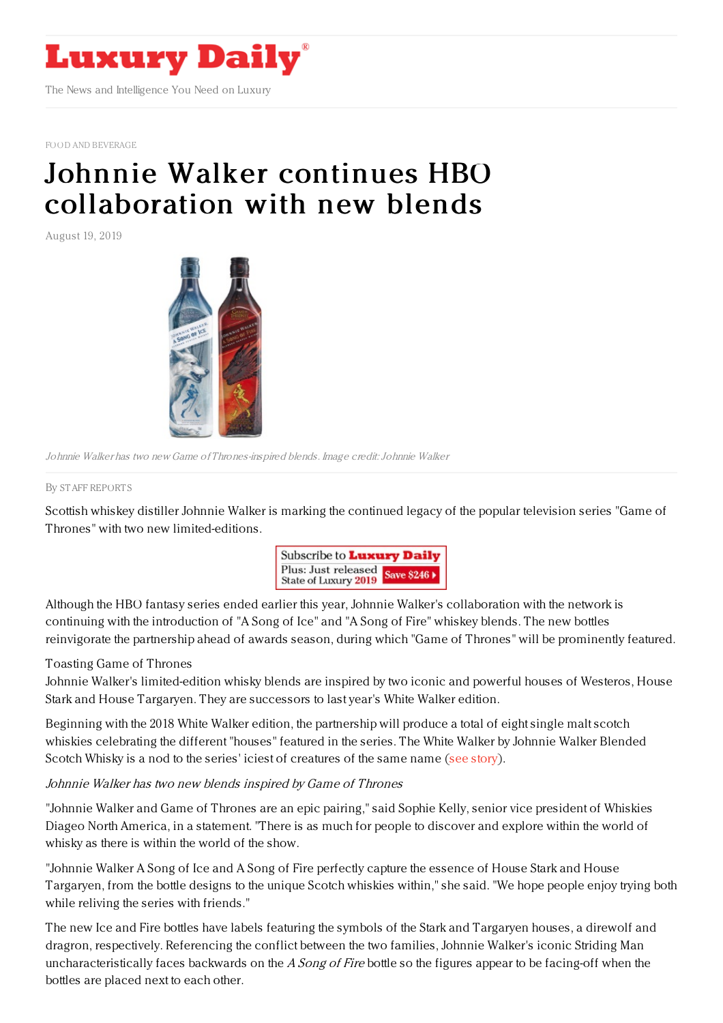

FOOD AND [BEVERAGE](https://www.luxurydaily.com/category/sectors/food-and-beverage/)

## Johnnie Walker continues HBO [collaboration](https://www.luxurydaily.com/johnnie-walker-continues-hbo-collaboration-with-new-blends/) with new blends

August 19, 2019



Johnnie Walker has two new Game of Thrones-inspired blends. Image credit:Johnnie Walker

## By STAFF [REPORT](file:///author/staff-reports) S

Scottish whiskey distiller Johnnie Walker is marking the continued legacy of the popular television series "Game of Thrones" with two new limited-editions.



Although the HBO fantasy series ended earlier this year, Johnnie Walker's collaboration with the network is continuing with the introduction of "A Song of Ice" and "A Song of Fire" whiskey blends. The new bottles reinvigorate the partnership ahead of awards season, during which "Game of Thrones" will be prominently featured.

## Toasting Game of Thrones

Johnnie Walker's limited-edition whisky blends are inspired by two iconic and powerful houses of Westeros, House Stark and House Targaryen. They are successors to last year's White Walker edition.

Beginning with the 2018 White Walker edition, the partnership will produce a total of eight single malt scotch whiskies celebrating the different "houses" featured in the series. The White Walker by Johnnie Walker Blended Scotch Whisky is a nod to the series' iciest of creatures of the same name (see [story](https://www.luxurydaily.com/johnnie-walker-taps-into-fan-frenzy-with-a-special-edition-series/)).

## Johnnie Walker has two new blends inspired by Game of Thrones

"Johnnie Walker and Game of Thrones are an epic pairing," said Sophie Kelly, senior vice president of Whiskies Diageo North America, in a statement. "There is as much for people to discover and explore within the world of whisky as there is within the world of the show.

"Johnnie Walker A Song of Ice and A Song of Fire perfectly capture the essence of House Stark and House Targaryen, from the bottle designs to the unique Scotch whiskies within," she said. "We hope people enjoy trying both while reliving the series with friends."

The new Ice and Fire bottles have labels featuring the symbols of the Stark and Targaryen houses, a direwolf and dragron, respectively. Referencing the conflict between the two families, Johnnie Walker's iconic Striding Man uncharacteristically faces backwards on the A Song of Fire bottle so the figures appear to be facing-off when the bottles are placed next to each other.